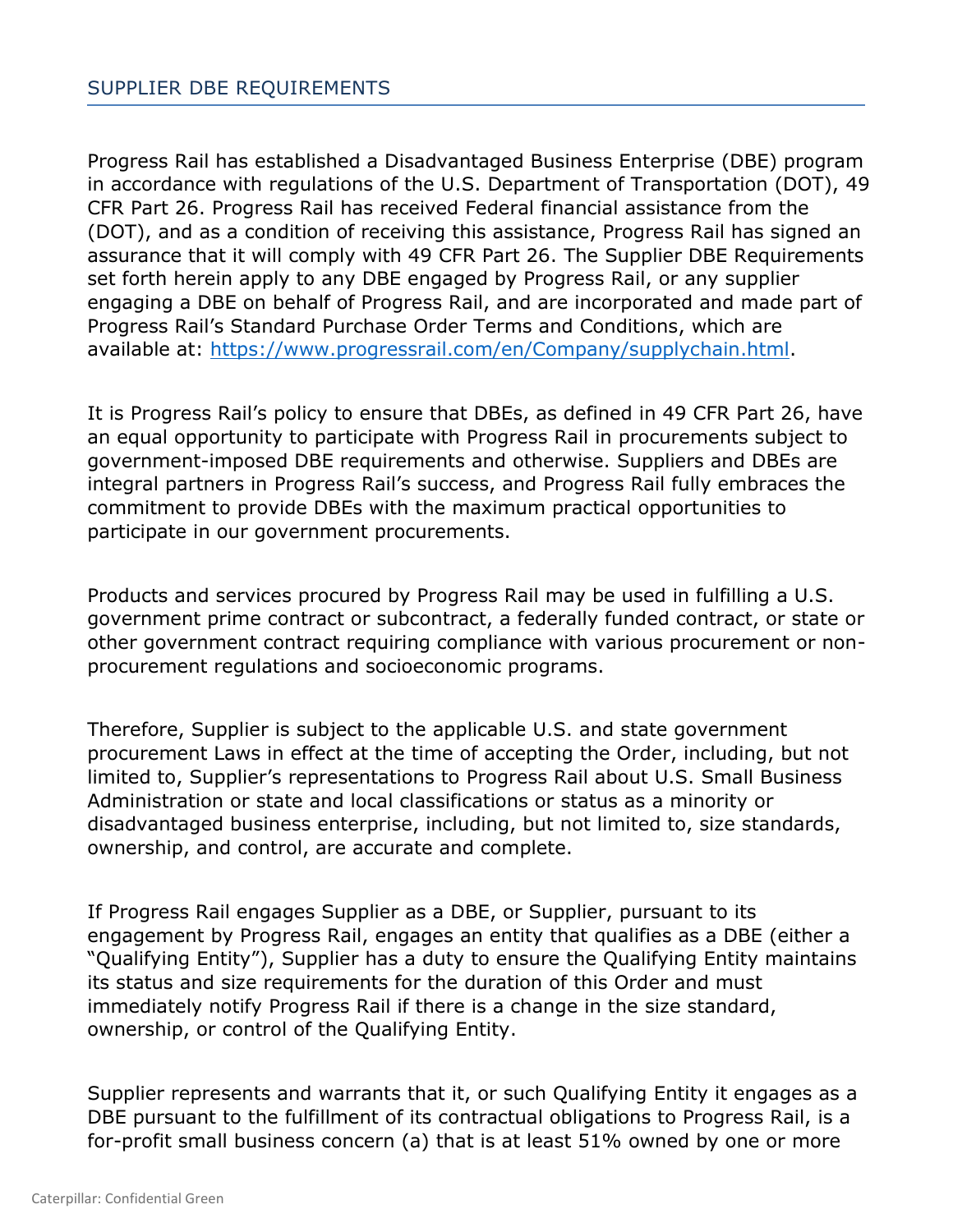Progress Rail has established a Disadvantaged Business Enterprise (DBE) program in accordance with regulations of the U.S. Department of Transportation (DOT), 49 CFR Part 26. Progress Rail has received Federal financial assistance from the (DOT), and as a condition of receiving this assistance, Progress Rail has signed an assurance that it will comply with 49 CFR Part 26. The Supplier DBE Requirements set forth herein apply to any DBE engaged by Progress Rail, or any supplier engaging a DBE on behalf of Progress Rail, and are incorporated and made part of Progress Rail's Standard Purchase Order Terms and Conditions, which are available at: [https://www.progressrail.com/en/Company/supplychain.html.](https://www.progressrail.com/en/Company/supplychain.html)

It is Progress Rail's policy to ensure that DBEs, as defined in 49 CFR Part 26, have an equal opportunity to participate with Progress Rail in procurements subject to government-imposed DBE requirements and otherwise. Suppliers and DBEs are integral partners in Progress Rail's success, and Progress Rail fully embraces the commitment to provide DBEs with the maximum practical opportunities to participate in our government procurements.

Products and services procured by Progress Rail may be used in fulfilling a U.S. government prime contract or subcontract, a federally funded contract, or state or other government contract requiring compliance with various procurement or nonprocurement regulations and socioeconomic programs.

Therefore, Supplier is subject to the applicable U.S. and state government procurement Laws in effect at the time of accepting the Order, including, but not limited to, Supplier's representations to Progress Rail about U.S. Small Business Administration or state and local classifications or status as a minority or disadvantaged business enterprise, including, but not limited to, size standards, ownership, and control, are accurate and complete.

If Progress Rail engages Supplier as a DBE, or Supplier, pursuant to its engagement by Progress Rail, engages an entity that qualifies as a DBE (either a "Qualifying Entity"), Supplier has a duty to ensure the Qualifying Entity maintains its status and size requirements for the duration of this Order and must immediately notify Progress Rail if there is a change in the size standard, ownership, or control of the Qualifying Entity.

Supplier represents and warrants that it, or such Qualifying Entity it engages as a DBE pursuant to the fulfillment of its contractual obligations to Progress Rail, is a for-profit small business concern (a) that is at least 51% owned by one or more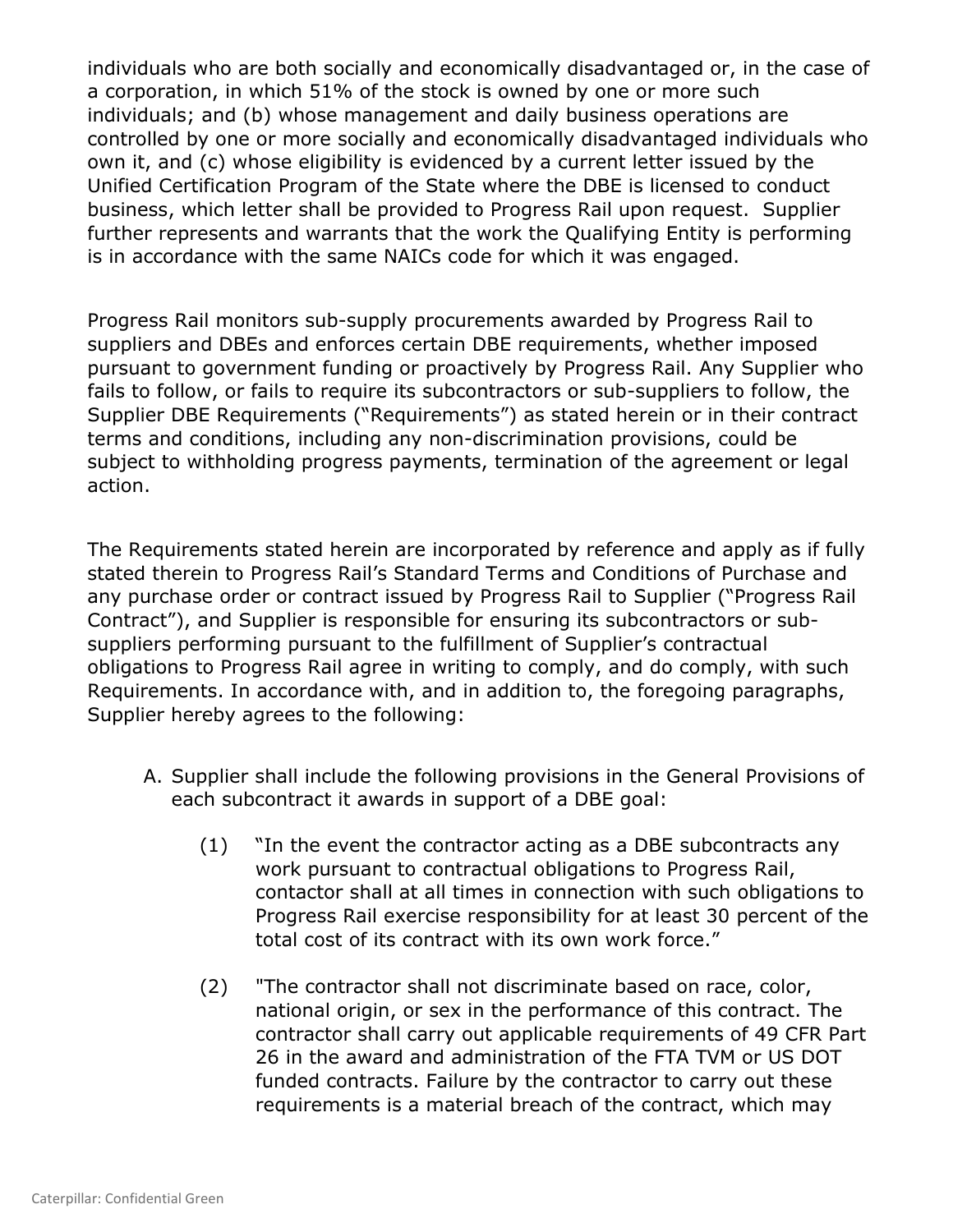individuals who are both socially and economically disadvantaged or, in the case of a corporation, in which 51% of the stock is owned by one or more such individuals; and (b) whose management and daily business operations are controlled by one or more socially and economically disadvantaged individuals who own it, and (c) whose eligibility is evidenced by a current letter issued by the Unified Certification Program of the State where the DBE is licensed to conduct business, which letter shall be provided to Progress Rail upon request. Supplier further represents and warrants that the work the Qualifying Entity is performing is in accordance with the same NAICs code for which it was engaged.

Progress Rail monitors sub-supply procurements awarded by Progress Rail to suppliers and DBEs and enforces certain DBE requirements, whether imposed pursuant to government funding or proactively by Progress Rail. Any Supplier who fails to follow, or fails to require its subcontractors or sub-suppliers to follow, the Supplier DBE Requirements ("Requirements") as stated herein or in their contract terms and conditions, including any non-discrimination provisions, could be subject to withholding progress payments, termination of the agreement or legal action.

The Requirements stated herein are incorporated by reference and apply as if fully stated therein to Progress Rail's Standard Terms and Conditions of Purchase and any purchase order or contract issued by Progress Rail to Supplier ("Progress Rail Contract"), and Supplier is responsible for ensuring its subcontractors or subsuppliers performing pursuant to the fulfillment of Supplier's contractual obligations to Progress Rail agree in writing to comply, and do comply, with such Requirements. In accordance with, and in addition to, the foregoing paragraphs, Supplier hereby agrees to the following:

- A. Supplier shall include the following provisions in the General Provisions of each subcontract it awards in support of a DBE goal:
	- (1) "In the event the contractor acting as a DBE subcontracts any work pursuant to contractual obligations to Progress Rail, contactor shall at all times in connection with such obligations to Progress Rail exercise responsibility for at least 30 percent of the total cost of its contract with its own work force."
	- (2) "The contractor shall not discriminate based on race, color, national origin, or sex in the performance of this contract. The contractor shall carry out applicable requirements of 49 CFR Part 26 in the award and administration of the FTA TVM or US DOT funded contracts. Failure by the contractor to carry out these requirements is a material breach of the contract, which may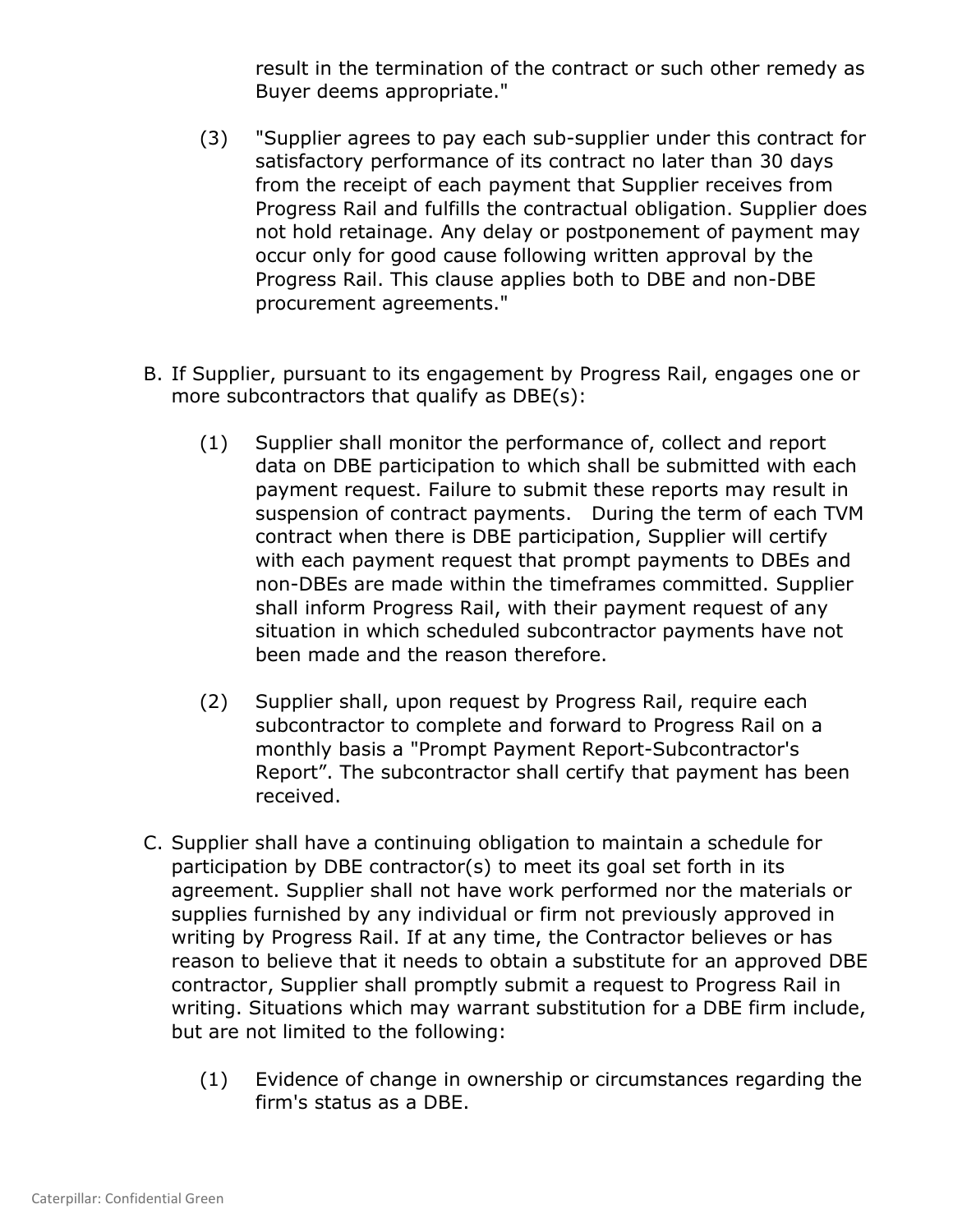result in the termination of the contract or such other remedy as Buyer deems appropriate."

- (3) "Supplier agrees to pay each sub-supplier under this contract for satisfactory performance of its contract no later than 30 days from the receipt of each payment that Supplier receives from Progress Rail and fulfills the contractual obligation. Supplier does not hold retainage. Any delay or postponement of payment may occur only for good cause following written approval by the Progress Rail. This clause applies both to DBE and non-DBE procurement agreements."
- B. If Supplier, pursuant to its engagement by Progress Rail, engages one or more subcontractors that qualify as DBE(s):
	- (1) Supplier shall monitor the performance of, collect and report data on DBE participation to which shall be submitted with each payment request. Failure to submit these reports may result in suspension of contract payments. During the term of each TVM contract when there is DBE participation, Supplier will certify with each payment request that prompt payments to DBEs and non-DBEs are made within the timeframes committed. Supplier shall inform Progress Rail, with their payment request of any situation in which scheduled subcontractor payments have not been made and the reason therefore.
	- (2) Supplier shall, upon request by Progress Rail, require each subcontractor to complete and forward to Progress Rail on a monthly basis a "Prompt Payment Report-Subcontractor's Report". The subcontractor shall certify that payment has been received.
- C. Supplier shall have a continuing obligation to maintain a schedule for participation by DBE contractor(s) to meet its goal set forth in its agreement. Supplier shall not have work performed nor the materials or supplies furnished by any individual or firm not previously approved in writing by Progress Rail. If at any time, the Contractor believes or has reason to believe that it needs to obtain a substitute for an approved DBE contractor, Supplier shall promptly submit a request to Progress Rail in writing. Situations which may warrant substitution for a DBE firm include, but are not limited to the following:
	- (1) Evidence of change in ownership or circumstances regarding the firm's status as a DBE.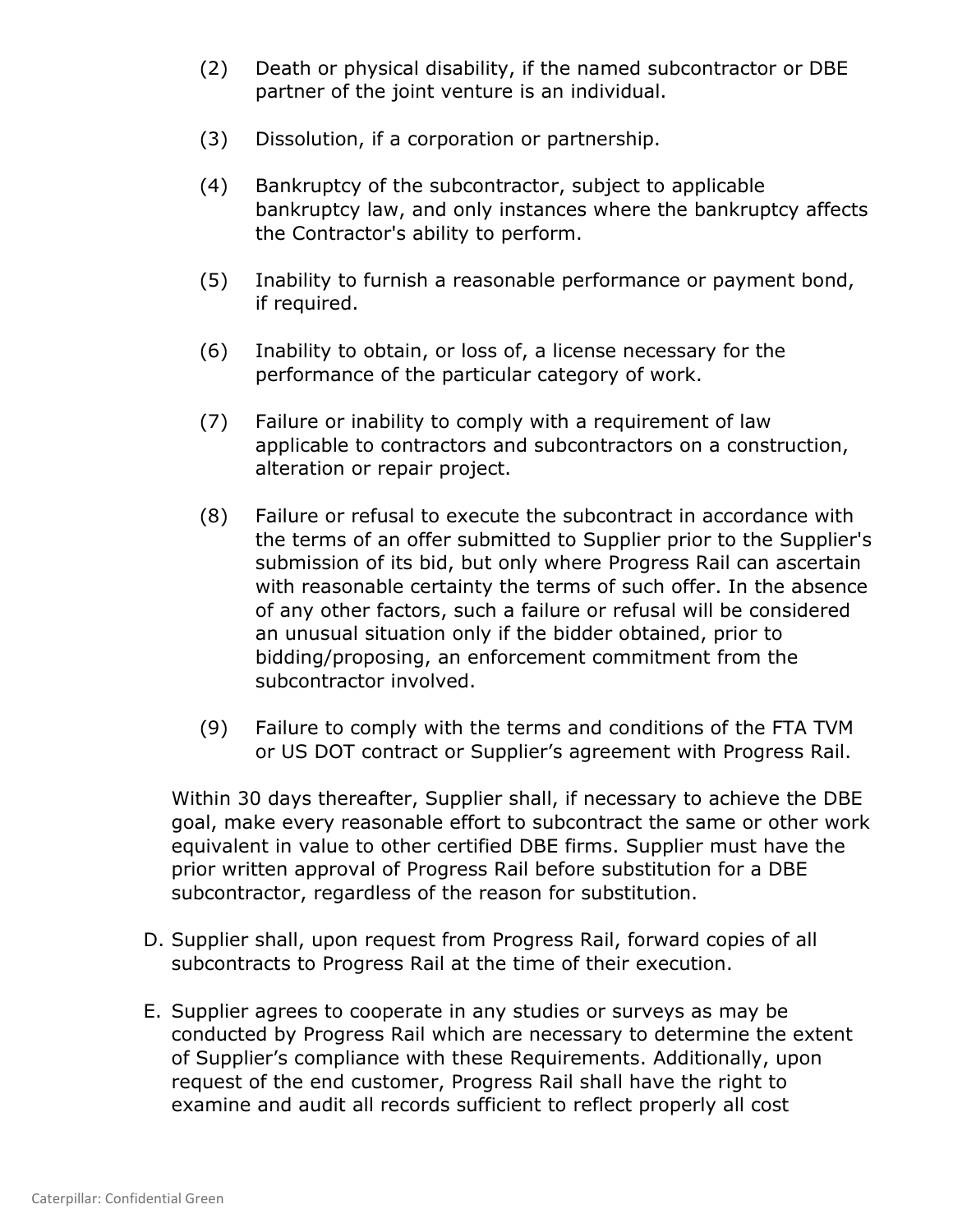- (2) Death or physical disability, if the named subcontractor or DBE partner of the joint venture is an individual.
- (3) Dissolution, if a corporation or partnership.
- (4) Bankruptcy of the subcontractor, subject to applicable bankruptcy law, and only instances where the bankruptcy affects the Contractor's ability to perform.
- (5) Inability to furnish a reasonable performance or payment bond, if required.
- (6) Inability to obtain, or loss of, a license necessary for the performance of the particular category of work.
- (7) Failure or inability to comply with a requirement of law applicable to contractors and subcontractors on a construction, alteration or repair project.
- (8) Failure or refusal to execute the subcontract in accordance with the terms of an offer submitted to Supplier prior to the Supplier's submission of its bid, but only where Progress Rail can ascertain with reasonable certainty the terms of such offer. In the absence of any other factors, such a failure or refusal will be considered an unusual situation only if the bidder obtained, prior to bidding/proposing, an enforcement commitment from the subcontractor involved.
- (9) Failure to comply with the terms and conditions of the FTA TVM or US DOT contract or Supplier's agreement with Progress Rail.

Within 30 days thereafter, Supplier shall, if necessary to achieve the DBE goal, make every reasonable effort to subcontract the same or other work equivalent in value to other certified DBE firms. Supplier must have the prior written approval of Progress Rail before substitution for a DBE subcontractor, regardless of the reason for substitution.

- D. Supplier shall, upon request from Progress Rail, forward copies of all subcontracts to Progress Rail at the time of their execution.
- E. Supplier agrees to cooperate in any studies or surveys as may be conducted by Progress Rail which are necessary to determine the extent of Supplier's compliance with these Requirements. Additionally, upon request of the end customer, Progress Rail shall have the right to examine and audit all records sufficient to reflect properly all cost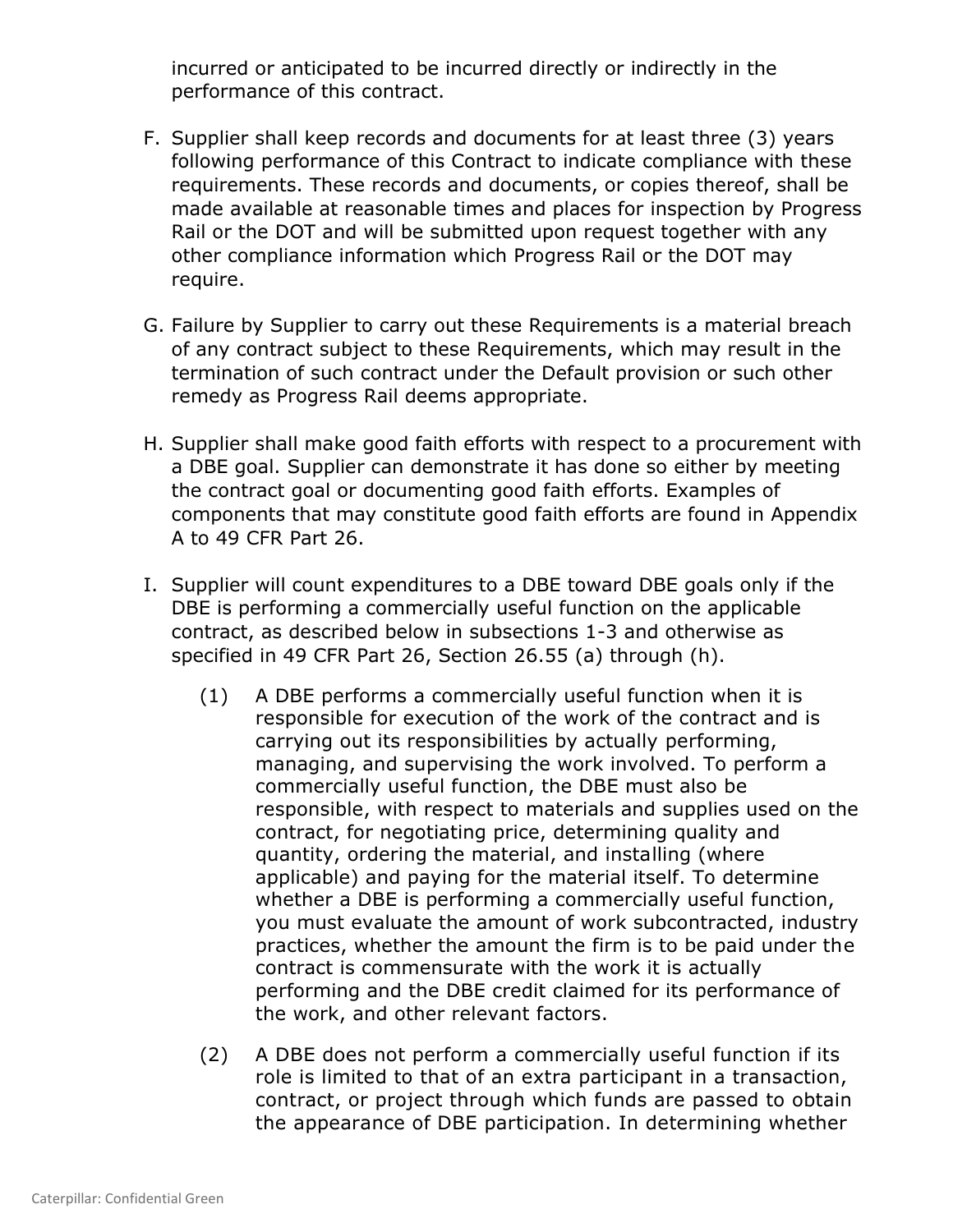incurred or anticipated to be incurred directly or indirectly in the performance of this contract.

- F. Supplier shall keep records and documents for at least three (3) years following performance of this Contract to indicate compliance with these requirements. These records and documents, or copies thereof, shall be made available at reasonable times and places for inspection by Progress Rail or the DOT and will be submitted upon request together with any other compliance information which Progress Rail or the DOT may require.
- G. Failure by Supplier to carry out these Requirements is a material breach of any contract subject to these Requirements, which may result in the termination of such contract under the Default provision or such other remedy as Progress Rail deems appropriate.
- H. Supplier shall make good faith efforts with respect to a procurement with a DBE goal. Supplier can demonstrate it has done so either by meeting the contract goal or documenting good faith efforts. Examples of components that may constitute good faith efforts are found in Appendix A to 49 CFR Part 26.
- I. Supplier will count expenditures to a DBE toward DBE goals only if the DBE is performing a commercially useful function on the applicable contract, as described below in subsections 1-3 and otherwise as specified in 49 CFR Part 26, Section 26.55 (a) through (h).
	- (1) A DBE performs a commercially useful function when it is responsible for execution of the work of the contract and is carrying out its responsibilities by actually performing, managing, and supervising the work involved. To perform a commercially useful function, the DBE must also be responsible, with respect to materials and supplies used on the contract, for negotiating price, determining quality and quantity, ordering the material, and installing (where applicable) and paying for the material itself. To determine whether a DBE is performing a commercially useful function, you must evaluate the amount of work subcontracted, industry practices, whether the amount the firm is to be paid under the contract is commensurate with the work it is actually performing and the DBE credit claimed for its performance of the work, and other relevant factors.
	- (2) A DBE does not perform a commercially useful function if its role is limited to that of an extra participant in a transaction, contract, or project through which funds are passed to obtain the appearance of DBE participation. In determining whether